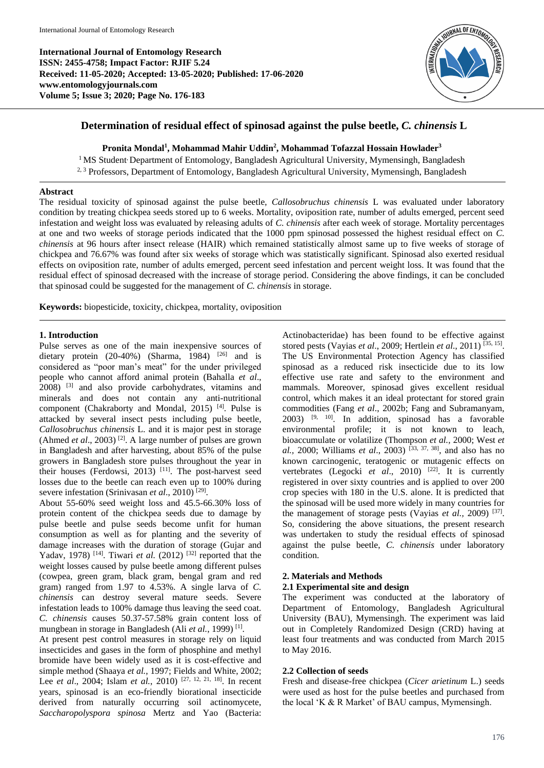**International Journal of Entomology Research ISSN: 2455-4758; Impact Factor: RJIF 5.24 Received: 11-05-2020; Accepted: 13-05-2020; Published: 17-06-2020 www.entomologyjournals.com Volume 5; Issue 3; 2020; Page No. 176-183**



# **Determination of residual effect of spinosad against the pulse beetle,** *C. chinensis* **L**

**Pronita Mondal<sup>1</sup> , Mohammad Mahir Uddin<sup>2</sup> , Mohammad Tofazzal Hossain Howlader<sup>3</sup>**

<sup>1</sup> MS Student Department of Entomology, Bangladesh Agricultural University, Mymensingh, Bangladesh <sup>2, 3</sup> Professors, Department of Entomology, Bangladesh Agricultural University, Mymensingh, Bangladesh

#### **Abstract**

The residual toxicity of spinosad against the pulse beetle, *Callosobruchus chinensis* L was evaluated under laboratory condition by treating chickpea seeds stored up to 6 weeks. Mortality, oviposition rate, number of adults emerged, percent seed infestation and weight loss was evaluated by releasing adults of *C. chinensis* after each week of storage. Mortality percentages at one and two weeks of storage periods indicated that the 1000 ppm spinosad possessed the highest residual effect on *C. chinensis* at 96 hours after insect release (HAIR) which remained statistically almost same up to five weeks of storage of chickpea and 76.67% was found after six weeks of storage which was statistically significant. Spinosad also exerted residual effects on oviposition rate, number of adults emerged, percent seed infestation and percent weight loss. It was found that the residual effect of spinosad decreased with the increase of storage period. Considering the above findings, it can be concluded that spinosad could be suggested for the management of *C. chinensis* in storage.

**Keywords:** biopesticide, toxicity, chickpea, mortality, oviposition

## **1. Introduction**

Pulse serves as one of the main inexpensive sources of dietary protein (20-40%) (Sharma, 1984) <sup>[26]</sup> and is considered as "poor man's meat" for the under privileged people who cannot afford animal protein (Bahalla *et al*., 2008) [3] and also provide carbohydrates, vitamins and minerals and does not contain any anti-nutritional component (Chakraborty and Mondal, 2015) [4]. Pulse is attacked by several insect pests including pulse beetle, *Callosobruchus chinensis* L. and it is major pest in storage (Ahmed *et al*., 2003) [2]. A large number of pulses are grown in Bangladesh and after harvesting, about 85% of the pulse growers in Bangladesh store pulses throughout the year in their houses (Ferdowsi, 2013)<sup>[11]</sup>. The post-harvest seed losses due to the beetle can reach even up to 100% during severe infestation (Srinivasan et al., 2010)<sup>[29]</sup>.

About 55-60% seed weight loss and 45.5-66.30% loss of protein content of the chickpea seeds due to damage by pulse beetle and pulse seeds become unfit for human consumption as well as for planting and the severity of damage increases with the duration of storage (Gujar and Yadav, 1978) <sup>[14]</sup>. Tiwari *et al.* (2012)<sup>[32]</sup> reported that the weight losses caused by pulse beetle among different pulses (cowpea, green gram, black gram, bengal gram and red gram) ranged from 1.97 to 4.53%. A single larva of *C. chinensis* can destroy several mature seeds. Severe infestation leads to 100% damage thus leaving the seed coat. *C. chinensis* causes 50.37-57.58% grain content loss of mungbean in storage in Bangladesh (Ali et al., 1999)<sup>[1]</sup>.

At present pest control measures in storage rely on liquid insecticides and gases in the form of phosphine and methyl bromide have been widely used as it is cost-effective and simple method (Shaaya *et al.*, 1997; Fields and White, 2002; Lee *et al.*, 2004; Islam *et al.*, 2010)<sup>[27, 12, 21, 18]. In recent</sup> years, spinosad is an eco-friendly biorational insecticide derived from naturally occurring soil actinomycete, *Saccharopolyspora spinosa* Mertz and Yao (Bacteria:

Actinobacteridae) has been found to be effective against stored pests (Vayias *et al*., 2009; Hertlein *et al*., 2011) [35, 15] . The US Environmental Protection Agency has classified spinosad as a reduced risk insecticide due to its low effective use rate and safety to the environment and mammals. Moreover, spinosad gives excellent residual control, which makes it an ideal protectant for stored grain commodities (Fang *et al*., 2002b; Fang and Subramanyam,  $2003$ ) <sup>[9, 10]</sup>. In addition, spinosad has a favorable environmental profile; it is not known to leach, bioaccumulate or volatilize (Thompson *et al.,* 2000; West *et al.,* 2000; Williams *et al*., 2003) [33, 37, 38], and also has no known carcinogenic, teratogenic or mutagenic effects on vertebrates (Legocki et al., 2010) <sup>[22]</sup>. It is currently registered in over sixty countries and is applied to over 200 crop species with 180 in the U.S. alone. It is predicted that the spinosad will be used more widely in many countries for the management of storage pests (Vayias *et al.*, 2009)<sup>[37]</sup>. So, considering the above situations, the present research was undertaken to study the residual effects of spinosad against the pulse beetle, *C. chinensis* under laboratory condition.

# **2. Materials and Methods**

## **2.1 Experimental site and design**

The experiment was conducted at the laboratory of Department of Entomology, Bangladesh Agricultural University (BAU), Mymensingh. The experiment was laid out in Completely Randomized Design (CRD) having at least four treatments and was conducted from March 2015 to May 2016.

# **2.2 Collection of seeds**

Fresh and disease-free chickpea (*Cicer arietinum* L.) seeds were used as host for the pulse beetles and purchased from the local 'K & R Market' of BAU campus, Mymensingh.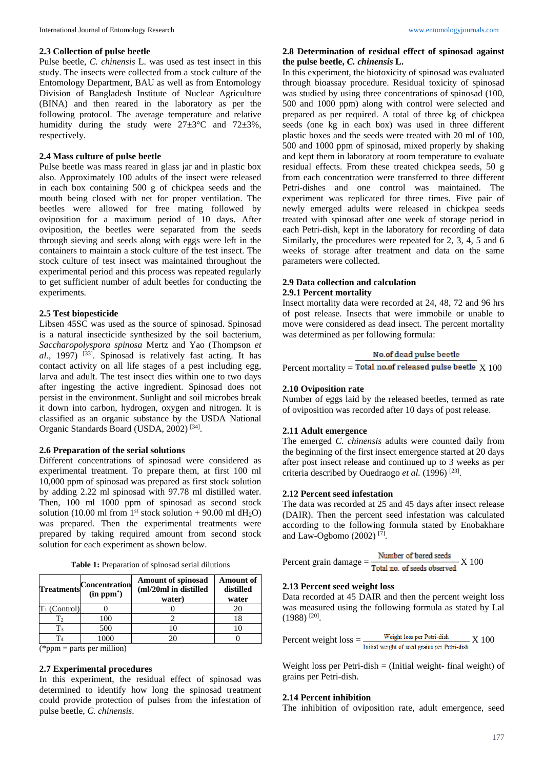### **2.3 Collection of pulse beetle**

Pulse beetle, *C. chinensis* L. was used as test insect in this study. The insects were collected from a stock culture of the Entomology Department, BAU as well as from Entomology Division of Bangladesh Institute of Nuclear Agriculture (BINA) and then reared in the laboratory as per the following protocol. The average temperature and relative humidity during the study were  $27 \pm 3$ °C and  $72 \pm 3$ %, respectively.

### **2.4 Mass culture of pulse beetle**

Pulse beetle was mass reared in glass jar and in plastic box also. Approximately 100 adults of the insect were released in each box containing 500 g of chickpea seeds and the mouth being closed with net for proper ventilation. The beetles were allowed for free mating followed by oviposition for a maximum period of 10 days. After oviposition, the beetles were separated from the seeds through sieving and seeds along with eggs were left in the containers to maintain a stock culture of the test insect. The stock culture of test insect was maintained throughout the experimental period and this process was repeated regularly to get sufficient number of adult beetles for conducting the experiments.

### **2.5 Test biopesticide**

Libsen 45SC was used as the source of spinosad. Spinosad is a natural insecticide synthesized by the soil bacterium, *Saccharopolyspora spinosa* Mertz and Yao (Thompson *et al.*, 1997) [33]. Spinosad is relatively fast acting. It has contact activity on all life stages of a pest including egg, larva and adult. The test insect dies within one to two days after ingesting the active ingredient. Spinosad does not persist in the environment. Sunlight and soil microbes break it down into carbon, hydrogen, oxygen and nitrogen. It is classified as an organic substance by the USDA National Organic Standards Board (USDA, 2002)<sup>[34]</sup>.

#### **2.6 Preparation of the serial solutions**

Different concentrations of spinosad were considered as experimental treatment. To prepare them, at first 100 ml 10,000 ppm of spinosad was prepared as first stock solution by adding 2.22 ml spinosad with 97.78 ml distilled water. Then, 100 ml 1000 ppm of spinosad as second stock solution (10.00 ml from  $1<sup>st</sup>$  stock solution + 90.00 ml dH<sub>2</sub>O) was prepared. Then the experimental treatments were prepared by taking required amount from second stock solution for each experiment as shown below.

|                 | Treatments Concentration<br>$(in ppm*)$ | <b>Amount of</b><br>distilled<br>water |  |  |
|-----------------|-----------------------------------------|----------------------------------------|--|--|
| $T_1$ (Control) |                                         |                                        |  |  |
| Т2              | 100                                     |                                        |  |  |
| T <sub>3</sub>  | 500                                     |                                        |  |  |
|                 |                                         |                                        |  |  |

**Table 1:** Preparation of spinosad serial dilutions

 $\overline{(*)p}$  = parts per million)

# **2.7 Experimental procedures**

In this experiment, the residual effect of spinosad was determined to identify how long the spinosad treatment could provide protection of pulses from the infestation of pulse beetle, *C. chinensis*.

### **2.8 Determination of residual effect of spinosad against the pulse beetle,** *C. chinensis* **L.**

In this experiment, the biotoxicity of spinosad was evaluated through bioassay procedure. Residual toxicity of spinosad was studied by using three concentrations of spinosad (100, 500 and 1000 ppm) along with control were selected and prepared as per required. A total of three kg of chickpea seeds (one kg in each box) was used in three different plastic boxes and the seeds were treated with 20 ml of 100, 500 and 1000 ppm of spinosad, mixed properly by shaking and kept them in laboratory at room temperature to evaluate residual effects. From these treated chickpea seeds, 50 g from each concentration were transferred to three different Petri-dishes and one control was maintained. The experiment was replicated for three times. Five pair of newly emerged adults were released in chickpea seeds treated with spinosad after one week of storage period in each Petri-dish, kept in the laboratory for recording of data Similarly, the procedures were repeated for 2, 3, 4, 5 and 6 weeks of storage after treatment and data on the same parameters were collected.

#### **2.9 Data collection and calculation 2.9.1 Percent mortality**

Insect mortality data were recorded at 24, 48, 72 and 96 hrs of post release. Insects that were immobile or unable to move were considered as dead insect. The percent mortality was determined as per following formula:

#### No.of dead pulse beetle

Percent mortality = Total no.of released pulse beetle  $X$  100

#### **2.10 Oviposition rate**

Number of eggs laid by the released beetles, termed as rate of oviposition was recorded after 10 days of post release.

#### **2.11 Adult emergence**

The emerged *C. chinensis* adults were counted daily from the beginning of the first insect emergence started at 20 days after post insect release and continued up to 3 weeks as per criteria described by Ouedraogo et al. (1996)<sup>[23]</sup>.

## **2.12 Percent seed infestation**

The data was recorded at 25 and 45 days after insect release (DAIR). Then the percent seed infestation was calculated according to the following formula stated by Enobakhare and Law-Ogbomo (2002) [7] .

Percent grain damage = 
$$
\frac{\text{Number of bored seeds}}{\text{Total no. of seeds observed}} \times 100
$$

#### **2.13 Percent seed weight loss**

Data recorded at 45 DAIR and then the percent weight loss was measured using the following formula as stated by Lal  $(1988)$ <sup>[20]</sup>.

Percent weight loss = 
$$
\frac{\text{Weight loss per Petri-dish}}{\text{Initial weight of seed grains per Petri-dish}} \times 100
$$

Weight loss per Petri-dish  $=$  (Initial weight- final weight) of grains per Petri-dish.

### **2.14 Percent inhibition**

The inhibition of oviposition rate, adult emergence, seed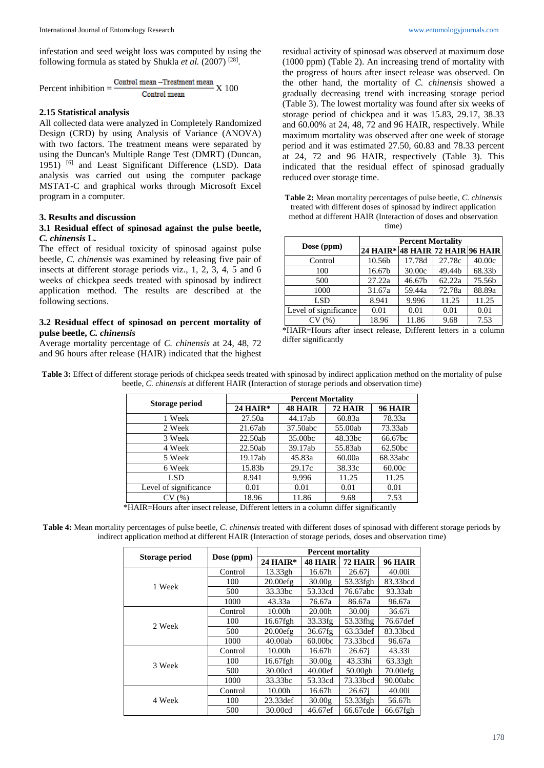infestation and seed weight loss was computed by using the following formula as stated by Shukla *et al.* (2007)<sup>[28]</sup>.

$$
Percent inhibition = \frac{Control mean - Treatment mean}{Control mean} X 100
$$

# **2.15 Statistical analysis**

All collected data were analyzed in Completely Randomized Design (CRD) by using Analysis of Variance (ANOVA) with two factors. The treatment means were separated by using the Duncan's Multiple Range Test (DMRT) (Duncan, 1951) [6] and Least Significant Difference (LSD). Data analysis was carried out using the computer package MSTAT-C and graphical works through Microsoft Excel program in a computer.

## **3. Results and discussion**

# **3.1 Residual effect of spinosad against the pulse beetle,**  *C. chinensis* **L.**

The effect of residual toxicity of spinosad against pulse beetle, *C. chinensis* was examined by releasing five pair of insects at different storage periods viz., 1, 2, 3, 4, 5 and 6 weeks of chickpea seeds treated with spinosad by indirect application method. The results are described at the following sections.

## **3.2 Residual effect of spinosad on percent mortality of pulse beetle,** *C. chinensis*

Average mortality percentage of *C. chinensis* at 24, 48, 72 and 96 hours after release (HAIR) indicated that the highest residual activity of spinosad was observed at maximum dose (1000 ppm) (Table 2). An increasing trend of mortality with the progress of hours after insect release was observed. On the other hand, the mortality of *C. chinensis* showed a gradually decreasing trend with increasing storage period (Table 3). The lowest mortality was found after six weeks of storage period of chickpea and it was 15.83, 29.17, 38.33 and 60.00% at 24, 48, 72 and 96 HAIR, respectively. While maximum mortality was observed after one week of storage period and it was estimated 27.50, 60.83 and 78.33 percent at 24, 72 and 96 HAIR, respectively (Table 3). This indicated that the residual effect of spinosad gradually reduced over storage time.

| <b>Table 2:</b> Mean mortality percentages of pulse beetle, C. chinensis |
|--------------------------------------------------------------------------|
| treated with different doses of spinosad by indirect application         |
| method at different HAIR (Interaction of doses and observation           |
| time)                                                                    |

|                       | <b>Percent Mortality</b>         |        |        |        |  |  |  |
|-----------------------|----------------------------------|--------|--------|--------|--|--|--|
| Dose (ppm)            | 24 HAIR* 48 HAIR 72 HAIR 96 HAIR |        |        |        |  |  |  |
| Control               | 10.56b                           | 17.78d | 27.78c | 40.00c |  |  |  |
| 100                   | 16.67b                           | 30.00c | 49.44b | 68.33b |  |  |  |
| 500                   | 27.22a                           | 46.67b | 62.22a | 75.56b |  |  |  |
| 1000                  | 31.67a                           | 59.44a | 72.78a | 88.89a |  |  |  |
| LSD <sub>1</sub>      | 8.941                            | 9.996  | 11.25  | 11.25  |  |  |  |
| Level of significance | 0.01                             | 0.01   | 0.01   | 0.01   |  |  |  |
| CV(%)                 | 18.96                            | 11.86  | 9.68   | 7.53   |  |  |  |

| *HAIR=Hours after insect release, Different letters in a column |  |  |  |  |
|-----------------------------------------------------------------|--|--|--|--|
| differ significantly                                            |  |  |  |  |

| Table 3: Effect of different storage periods of chickpea seeds treated with spinosad by indirect application method on the mortality of pulse |  |
|-----------------------------------------------------------------------------------------------------------------------------------------------|--|
| beetle, C. chinensis at different HAIR (Interaction of storage periods and observation time)                                                  |  |

| <b>Percent Mortality</b> |                |         |                        |  |  |  |  |
|--------------------------|----------------|---------|------------------------|--|--|--|--|
| $24$ HAIR*               | <b>48 HAIR</b> | 72 HAIR | <b>96 HAIR</b>         |  |  |  |  |
| 27.50a                   | 44.17ab        | 60.83a  | 78.33a                 |  |  |  |  |
| 21.67ab                  | 37.50abc       | 55.00ab | 73.33ab                |  |  |  |  |
| 22.50ab                  | 35.00bc        | 48.33bc | 66.67bc                |  |  |  |  |
| 22.50ab                  | 39.17ab        | 55.83ab | 62.50bc                |  |  |  |  |
| 19.17ab                  | 45.83a         | 60.00a  | 68.33abc               |  |  |  |  |
| 15.83b                   | 29.17c         | 38.33c  | 60.00c                 |  |  |  |  |
| 8.941                    | 9.996          | 11.25   | 11.25                  |  |  |  |  |
| 0.01                     | 0.01           | 0.01    | 0.01                   |  |  |  |  |
| 18.96                    | 11.86          | 9.68    | 7.53                   |  |  |  |  |
|                          |                |         | 1.00<br>$\cdot$ $\sim$ |  |  |  |  |

\*HAIR=Hours after insect release, Different letters in a column differ significantly

**Table 4:** Mean mortality percentages of pulse beetle, *C. chinensis* treated with different doses of spinosad with different storage periods by indirect application method at different HAIR (Interaction of storage periods, doses and observation time)

|                |            | <b>Percent mortality</b> |                    |                    |                |  |  |
|----------------|------------|--------------------------|--------------------|--------------------|----------------|--|--|
| Storage period | Dose (ppm) | $24$ HAIR*               | <b>48 HAIR</b>     | 72 HAIR            | <b>96 HAIR</b> |  |  |
|                | Control    | 13.33gh                  | 16.67h             | $26.67$ i          | 40.00i         |  |  |
| 1 Week         | 100        | $20.00$ efg              | 30.00g             | 53.33fgh           | 83.33bcd       |  |  |
|                | 500        | 33.33bc                  | 53.33cd            | 76.67abc           | 93.33ab        |  |  |
|                | 1000       | 43.33a                   | 76.67a             | 86.67a             | 96.67a         |  |  |
|                | Control    | 10.00 <sub>h</sub>       | 20.00h             | 30.00 <sub>i</sub> | 36.67i         |  |  |
| 2 Week         | 100        | 16.67fgh                 | 33.33fg            | 53.33fhg           | 76.67def       |  |  |
|                | 500        | 20.00efg                 | 36.67fg            | 63.33def           | 83.33bcd       |  |  |
|                | 1000       | 40.00ab                  | 60.00 <sub>b</sub> | 73.33bcd           | 96.67a         |  |  |
|                | Control    | 10.00 <sub>h</sub>       | 16.67h             | $26.67$ i          | 43.33i         |  |  |
| 3 Week         | 100        | $16.67$ fgh              | 30.00g             | 43.33hi            | 63.33gh        |  |  |
|                | 500        | 30.00cd                  | 40.00ef            | $50.00$ gh         | 70.00efg       |  |  |
|                | 1000       | 33.33bc                  | 53.33cd            | 73.33bcd           | 90.00abc       |  |  |
|                | Control    | 10.00 <sub>h</sub>       | 16.67h             | 26.67i             | 40.00i         |  |  |
| 4 Week         | 100        | 23.33def                 | 30.00g             | 53.33fgh           | 56.67h         |  |  |
|                | 500        | 30.00cd                  | 46.67ef            | 66.67cde           | 66.67fgh       |  |  |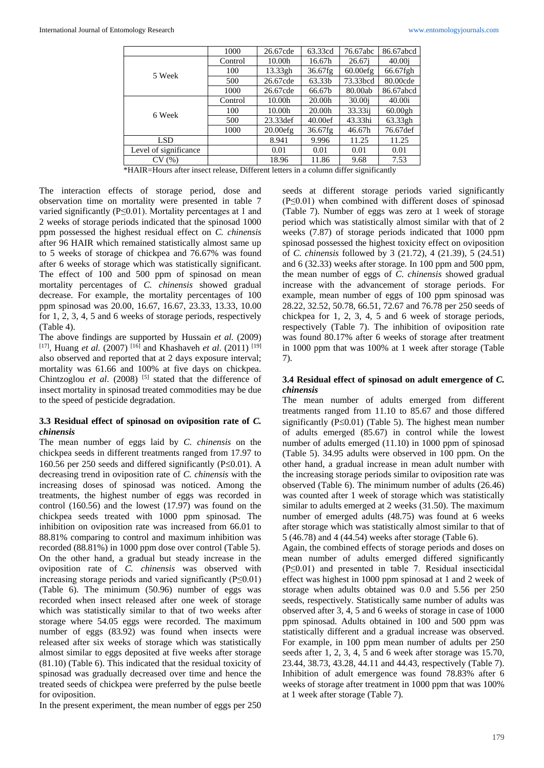|                       | 1000    | 26.67cde           | 63.33cd    | 76.67abc           | 86.67abcd          |
|-----------------------|---------|--------------------|------------|--------------------|--------------------|
|                       | Control | 10.00 <sub>h</sub> | 16.67h     | $26.67$ i          | 40.00 <sub>i</sub> |
| 5 Week                | 100     | 13.33gh            | $36.67$ fg | 60.00efg           | 66.67fgh           |
|                       | 500     | 26.67cde           | 63.33b     | 73.33bcd           | 80.00cde           |
|                       | 1000    | 26.67cde           | 66.67b     | 80.00ab            | 86.67abcd          |
|                       | Control | 10.00 <sub>h</sub> | 20.00h     | 30.00 <sub>i</sub> | 40.00i             |
| 6 Week                | 100     | 10.00 <sub>h</sub> | 20.00h     | 33.33 i j          | $60.00$ gh         |
|                       | 500     | $23.33$ def        | 40.00ef    | 43.33hi            | 63.33gh            |
|                       | 1000    | $20.00$ efg        | $36.67$ fg | 46.67h             | 76.67def           |
| LSD.                  |         | 8.941              | 9.996      | 11.25              | 11.25              |
| Level of significance |         | 0.01               | 0.01       | 0.01               | 0.01               |
| CV(%)                 |         | 18.96              | 11.86      | 9.68               | 7.53               |

\*HAIR=Hours after insect release, Different letters in a column differ significantly

The interaction effects of storage period, dose and observation time on mortality were presented in table 7 varied significantly (P≤0.01). Mortality percentages at 1 and 2 weeks of storage periods indicated that the spinosad 1000 ppm possessed the highest residual effect on *C. chinensis* after 96 HAIR which remained statistically almost same up to 5 weeks of storage of chickpea and 76.67% was found after 6 weeks of storage which was statistically significant. The effect of 100 and 500 ppm of spinosad on mean mortality percentages of *C. chinensis* showed gradual decrease. For example, the mortality percentages of 100 ppm spinosad was 20.00, 16.67, 16.67, 23.33, 13.33, 10.00 for 1, 2, 3, 4, 5 and 6 weeks of storage periods, respectively (Table 4).

The above findings are supported by Hussain *et al.* (2009) [17], Huang *et al.* (2007) [16] and Khashaveh *et al*. (2011) [19] also observed and reported that at 2 days exposure interval; mortality was 61.66 and 100% at five days on chickpea. Chintzoglou et al. (2008) <sup>[5]</sup> stated that the difference of insect mortality in spinosad treated commodities may be due to the speed of pesticide degradation.

## **3.3 Residual effect of spinosad on oviposition rate of** *C. chinensis*

The mean number of eggs laid by *C. chinensis* on the chickpea seeds in different treatments ranged from 17.97 to 160.56 per 250 seeds and differed significantly ( $P \le 0.01$ ). A decreasing trend in oviposition rate of *C. chinensis* with the increasing doses of spinosad was noticed. Among the treatments, the highest number of eggs was recorded in control (160.56) and the lowest (17.97) was found on the chickpea seeds treated with 1000 ppm spinosad. The inhibition on oviposition rate was increased from 66.01 to 88.81% comparing to control and maximum inhibition was recorded (88.81%) in 1000 ppm dose over control (Table 5). On the other hand, a gradual but steady increase in the oviposition rate of *C. chinensis* was observed with increasing storage periods and varied significantly (P≤0.01) (Table 6). The minimum (50.96) number of eggs was recorded when insect released after one week of storage which was statistically similar to that of two weeks after storage where 54.05 eggs were recorded. The maximum number of eggs (83.92) was found when insects were released after six weeks of storage which was statistically almost similar to eggs deposited at five weeks after storage (81.10) (Table 6). This indicated that the residual toxicity of spinosad was gradually decreased over time and hence the treated seeds of chickpea were preferred by the pulse beetle for oviposition.

In the present experiment, the mean number of eggs per 250

seeds at different storage periods varied significantly (P≤0.01) when combined with different doses of spinosad (Table 7). Number of eggs was zero at 1 week of storage period which was statistically almost similar with that of 2 weeks (7.87) of storage periods indicated that 1000 ppm spinosad possessed the highest toxicity effect on oviposition of *C. chinensis* followed by 3 (21.72), 4 (21.39), 5 (24.51) and 6 (32.33) weeks after storage. In 100 ppm and 500 ppm, the mean number of eggs of *C. chinensis* showed gradual increase with the advancement of storage periods. For example, mean number of eggs of 100 ppm spinosad was 28.22, 32.52, 50.78, 66.51, 72.67 and 76.78 per 250 seeds of chickpea for 1, 2, 3, 4, 5 and 6 week of storage periods, respectively (Table 7). The inhibition of oviposition rate was found 80.17% after 6 weeks of storage after treatment in 1000 ppm that was 100% at 1 week after storage (Table 7).

### **3.4 Residual effect of spinosad on adult emergence of** *C. chinensis*

The mean number of adults emerged from different treatments ranged from 11.10 to 85.67 and those differed significantly ( $P \le 0.01$ ) (Table 5). The highest mean number of adults emerged (85.67) in control while the lowest number of adults emerged (11.10) in 1000 ppm of spinosad (Table 5). 34.95 adults were observed in 100 ppm. On the other hand, a gradual increase in mean adult number with the increasing storage periods similar to oviposition rate was observed (Table 6). The minimum number of adults (26.46) was counted after 1 week of storage which was statistically similar to adults emerged at 2 weeks (31.50). The maximum number of emerged adults (48.75) was found at 6 weeks after storage which was statistically almost similar to that of 5 (46.78) and 4 (44.54) weeks after storage (Table 6).

Again, the combined effects of storage periods and doses on mean number of adults emerged differed significantly (P≤0.01) and presented in table 7. Residual insecticidal effect was highest in 1000 ppm spinosad at 1 and 2 week of storage when adults obtained was 0.0 and 5.56 per 250 seeds, respectively. Statistically same number of adults was observed after 3, 4, 5 and 6 weeks of storage in case of 1000 ppm spinosad. Adults obtained in 100 and 500 ppm was statistically different and a gradual increase was observed. For example, in 100 ppm mean number of adults per 250 seeds after 1, 2, 3, 4, 5 and 6 week after storage was 15.70, 23.44, 38.73, 43.28, 44.11 and 44.43, respectively (Table 7). Inhibition of adult emergence was found 78.83% after 6 weeks of storage after treatment in 1000 ppm that was 100% at 1 week after storage (Table 7).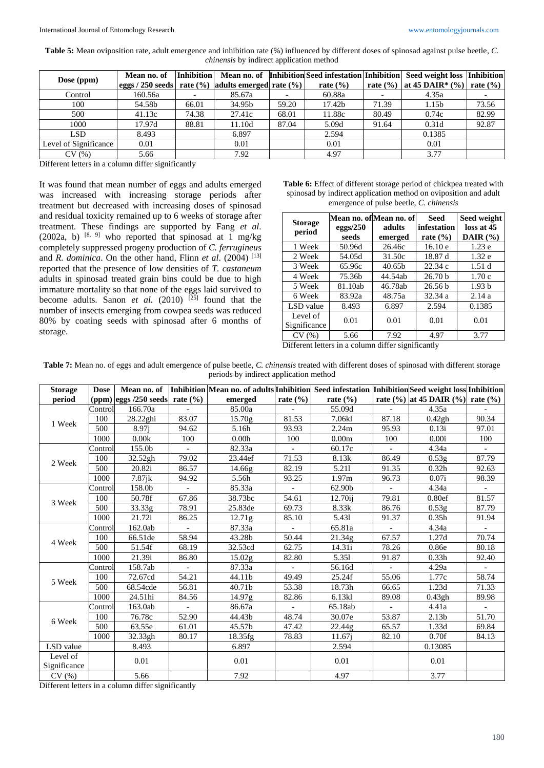**Table 5:** Mean oviposition rate, adult emergence and inhibition rate (%) influenced by different doses of spinosad against pulse beetle, *C. chinensis* by indirect application method

| Dose (ppm)            | Mean no. of<br>eggs $/250$ seeds |       | rate $(\% )$ adults emerged rate $(\% )$ |       | rate $(\% )$ |       | Inhibition Mean no. of Inhibition Seed infestation Inhibition Seed weight loss Inhibition<br>rate $(\% )$ at 45 DAIR* $(\% )$ rate $(\% )$ |       |
|-----------------------|----------------------------------|-------|------------------------------------------|-------|--------------|-------|--------------------------------------------------------------------------------------------------------------------------------------------|-------|
| Control               | 160.56a                          |       | 85.67a                                   |       | 60.88a       |       | 4.35a                                                                                                                                      |       |
| 100                   | 54.58b                           | 66.01 | 34.95b                                   | 59.20 | 17.42b       | 71.39 | 1.15 <sub>b</sub>                                                                                                                          | 73.56 |
| 500                   | 41.13c                           | 74.38 | 27.41c                                   | 68.01 | 11.88c       | 80.49 | 0.74c                                                                                                                                      | 82.99 |
| 1000                  | 17.97d                           | 88.81 | 11.10d                                   | 87.04 | 5.09d        | 91.64 | 0.31d                                                                                                                                      | 92.87 |
| <b>LSD</b>            | 8.493                            |       | 6.897                                    |       | 2.594        |       | 0.1385                                                                                                                                     |       |
| Level of Significance | 0.01                             |       | 0.01                                     |       | 0.01         |       | 0.01                                                                                                                                       |       |
| CV(%)                 | 5.66                             |       | 7.92                                     |       | 4.97         |       | 3.77                                                                                                                                       |       |

Different letters in a column differ significantly

It was found that mean number of eggs and adults emerged was increased with increasing storage periods after treatment but decreased with increasing doses of spinosad and residual toxicity remained up to 6 weeks of storage after treatment. These findings are supported by Fang *et al*. (2002a, b)  $[8, 9]$  who reported that spinosad at 1 mg/kg completely suppressed progeny production of *C. ferrugineus*  and *R. dominica*. On the other hand, Flinn *et al*. (2004) [13] reported that the presence of low densities of *T. castaneum* adults in spinosad treated grain bins could be due to high immature mortality so that none of the eggs laid survived to become adults. Sanon *et al.* (2010)  $^{[25]}$  found that the number of insects emerging from cowpea seeds was reduced 80% by coating seeds with spinosad after 6 months of storage.

**Table 6:** Effect of different storage period of chickpea treated with spinosad by indirect application method on oviposition and adult emergence of pulse beetle, *C. chinensis*

| <b>Storage</b><br>period | eggs/ $250$<br>seeds | Mean no. ofMean no. of<br>adults<br>emerged | <b>Seed</b><br>infestation<br>rate $(\% )$ | Seed weight<br>loss at 45<br>DAIR $(%)$ |
|--------------------------|----------------------|---------------------------------------------|--------------------------------------------|-----------------------------------------|
| 1 Week                   | 50.96d               | 26.46c                                      | 16.10e                                     | 1.23e                                   |
| 2 Week                   | 54.05d               | 31.50c                                      | 18.87 d                                    | 1.32e                                   |
| 3 Week                   | 65.96c               | 40.65 <sub>b</sub>                          | 22.34c                                     | 1.51d                                   |
| 4 Week                   | 75.36b               | 44.54ab                                     | 26.70 <sub>b</sub>                         | 1.70c                                   |
| 5 Week                   | 81.10ab              | 46.78ab                                     | 26.56 <sub>b</sub>                         | 1.93 <sub>b</sub>                       |
| 6 Week                   | 83.92a               | 48.75a                                      | 32.34 a                                    | 2.14a                                   |
| LSD value                | 8.493                | 6.897                                       | 2.594                                      | 0.1385                                  |
| Level of<br>Significance | 0.01                 | 0.01                                        | 0.01                                       | 0.01                                    |
| CV(%)                    | 5.66                 | 7.92                                        | 4.97                                       | 3.77                                    |

Different letters in a column differ significantly

| Table 7: Mean no. of eggs and adult emergence of pulse beetle, C. chinensis treated with different doses of spinosad with different storage |  |
|---------------------------------------------------------------------------------------------------------------------------------------------|--|
| periods by indirect application method                                                                                                      |  |

| <b>Storage</b>           | <b>Dose</b> |                                      |                          | Mean no. of  Inhibition Mean no. of adults Inhibition Seed infestation  Inhibition Seed weight loss Inhibition |              |                   |                          |                                           |                          |
|--------------------------|-------------|--------------------------------------|--------------------------|----------------------------------------------------------------------------------------------------------------|--------------|-------------------|--------------------------|-------------------------------------------|--------------------------|
| period                   |             | (ppm) $\log$ ggs /250 seeds rate (%) |                          | emerged                                                                                                        | rate $(\% )$ | rate $(\% )$      |                          | rate $(\%)$ at 45 DAIR $(\%)$ rate $(\%)$ |                          |
|                          | Control     | 166.70a                              | $\equiv$                 | 85.00a                                                                                                         |              | 55.09d            | $\sim$                   | 4.35a                                     |                          |
| 1 Week                   | 100         | 28.22ghi                             | 83.07                    | 15.70g                                                                                                         | 81.53        | 7.06kl            | 87.18                    | 0.42gh                                    | 90.34                    |
|                          | 500         | 8.97i                                | 94.62                    | 5.16h                                                                                                          | 93.93        | 2.24m             | 95.93                    | 0.13i                                     | 97.01                    |
|                          | 1000        | 0.00k                                | 100                      | 0.00h                                                                                                          | 100          | 0.00 <sub>m</sub> | 100                      | 0.00i                                     | 100                      |
|                          | Control     | 155.0b                               |                          | 82.33a                                                                                                         |              | 60.17c            |                          | 4.34a                                     |                          |
| 2 Week                   | 100         | 32.52gh                              | 79.02                    | 23.44ef                                                                                                        | 71.53        | 8.13k             | 86.49                    | 0.53g                                     | 87.79                    |
|                          | 500         | 20.82i                               | 86.57                    | 14.66g                                                                                                         | 82.19        | 5.211             | 91.35                    | 0.32 <sub>h</sub>                         | 92.63                    |
|                          | 1000        | $7.87$ jk                            | 94.92                    | 5.56h                                                                                                          | 93.25        | 1.97m             | 96.73                    | 0.07i                                     | 98.39                    |
|                          | Control     | 158.0b                               | $\overline{\phantom{0}}$ | 85.33a                                                                                                         | $\sim$       | 62.90b            | $\overline{\phantom{a}}$ | 4.34a                                     |                          |
| 3 Week                   | 100         | 50.78f                               | 67.86                    | 38.73bc                                                                                                        | 54.61        | 12.70ij           | 79.81                    | 0.80ef                                    | 81.57                    |
|                          | 500         | 33.33g                               | 78.91                    | 25.83de                                                                                                        | 69.73        | 8.33k             | 86.76                    | 0.53g                                     | 87.79                    |
|                          | 1000        | 21.72i                               | 86.25                    | 12.71g                                                                                                         | 85.10        | 5.431             | 91.37                    | 0.35h                                     | 91.94                    |
|                          | Control     | 162.0ab                              |                          | 87.33a                                                                                                         |              | 65.81a            | $\overline{\phantom{a}}$ | 4.34a                                     | $\overline{\phantom{0}}$ |
| 4 Week                   | 100         | 66.51de                              | 58.94                    | 43.28b                                                                                                         | 50.44        | 21.34g            | 67.57                    | 1.27d                                     | 70.74                    |
|                          | 500         | 51.54f                               | 68.19                    | 32.53cd                                                                                                        | 62.75        | 14.31i            | 78.26                    | 0.86e                                     | 80.18                    |
|                          | 1000        | 21.39i                               | 86.80                    | $\overline{15.02g}$                                                                                            | 82.80        | 5.351             | 91.87                    | 0.33h                                     | 92.40                    |
|                          | Control     | 158.7ab                              |                          | 87.33a                                                                                                         |              | 56.16d            |                          | 4.29a                                     |                          |
| 5 Week                   | 100         | 72.67cd                              | 54.21                    | 44.11b                                                                                                         | 49.49        | 25.24f            | 55.06                    | 1.77c                                     | 58.74                    |
|                          | 500         | 68.54cde                             | 56.81                    | 40.71b                                                                                                         | 53.38        | 18.73h            | 66.65                    | 1.23d                                     | 71.33                    |
|                          | 1000        | 24.51hi                              | 84.56                    | $\overline{14.97g}$                                                                                            | 82.86        | 6.13kl            | 89.08                    | 0.43gh                                    | 89.98                    |
|                          | Control     | 163.0ab                              |                          | 86.67a                                                                                                         |              | 65.18ab           |                          | 4.41a                                     |                          |
| $6\;\mathrm{Week}$       | 100         | 76.78c                               | 52.90                    | 44.43b                                                                                                         | 48.74        | 30.07e            | 53.87                    | 2.13 <sub>b</sub>                         | 51.70                    |
|                          | 500         | 63.55e                               | 61.01                    | 45.57b                                                                                                         | 47.42        | 22.44g            | 65.57                    | 1.33d                                     | 69.84                    |
|                          | 1000        | 32.33gh                              | 80.17                    | 18.35fg                                                                                                        | 78.83        | 11.67i            | 82.10                    | 0.70f                                     | 84.13                    |
| LSD value                |             | 8.493                                |                          | 6.897                                                                                                          |              | 2.594             |                          | 0.13085                                   |                          |
| Level of<br>Significance |             | 0.01                                 |                          | 0.01                                                                                                           |              | 0.01              |                          | 0.01                                      |                          |
| CV(%)                    |             | 5.66                                 |                          | 7.92                                                                                                           |              | 4.97              |                          | 3.77                                      |                          |

Different letters in a column differ significantly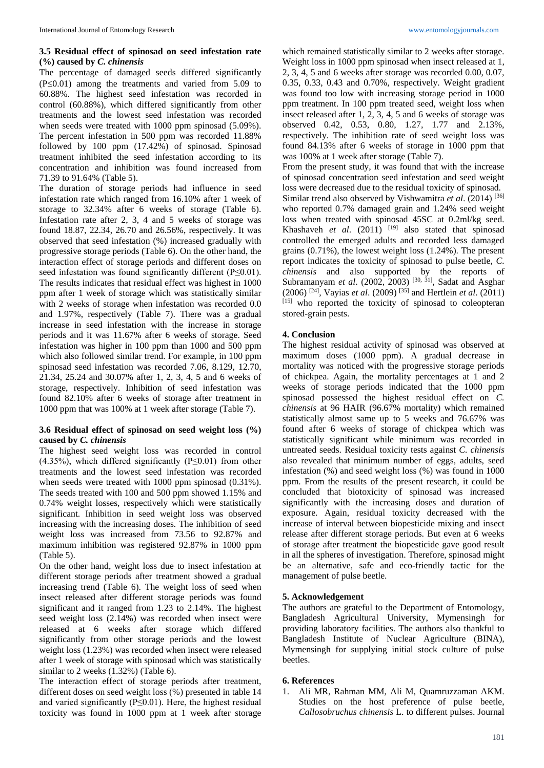## **3.5 Residual effect of spinosad on seed infestation rate (%) caused by** *C. chinensis*

The percentage of damaged seeds differed significantly  $(P \le 0.01)$  among the treatments and varied from 5.09 to 60.88%. The highest seed infestation was recorded in control (60.88%), which differed significantly from other treatments and the lowest seed infestation was recorded when seeds were treated with 1000 ppm spinosad  $(5.09\%)$ . The percent infestation in 500 ppm was recorded 11.88% followed by 100 ppm (17.42%) of spinosad. Spinosad treatment inhibited the seed infestation according to its concentration and inhibition was found increased from 71.39 to 91.64% (Table 5).

The duration of storage periods had influence in seed infestation rate which ranged from 16.10% after 1 week of storage to 32.34% after 6 weeks of storage (Table 6). Infestation rate after 2, 3, 4 and 5 weeks of storage was found 18.87, 22.34, 26.70 and 26.56%, respectively. It was observed that seed infestation (%) increased gradually with progressive storage periods (Table 6). On the other hand, the interaction effect of storage periods and different doses on seed infestation was found significantly different (P≤0.01). The results indicates that residual effect was highest in 1000 ppm after 1 week of storage which was statistically similar with 2 weeks of storage when infestation was recorded 0.0 and 1.97%, respectively (Table 7). There was a gradual increase in seed infestation with the increase in storage periods and it was 11.67% after 6 weeks of storage. Seed infestation was higher in 100 ppm than 1000 and 500 ppm which also followed similar trend. For example, in 100 ppm spinosad seed infestation was recorded 7.06, 8.129, 12.70, 21.34, 25.24 and 30.07% after 1, 2, 3, 4, 5 and 6 weeks of storage, respectively. Inhibition of seed infestation was found 82.10% after 6 weeks of storage after treatment in 1000 ppm that was 100% at 1 week after storage (Table 7).

# **3.6 Residual effect of spinosad on seed weight loss (%) caused by** *C. chinensis*

The highest seed weight loss was recorded in control (4.35%), which differed significantly (P≤0.01) from other treatments and the lowest seed infestation was recorded when seeds were treated with 1000 ppm spinosad (0.31%). The seeds treated with 100 and 500 ppm showed 1.15% and 0.74% weight losses, respectively which were statistically significant. Inhibition in seed weight loss was observed increasing with the increasing doses. The inhibition of seed weight loss was increased from 73.56 to 92.87% and maximum inhibition was registered 92.87% in 1000 ppm (Table 5).

On the other hand, weight loss due to insect infestation at different storage periods after treatment showed a gradual increasing trend (Table 6). The weight loss of seed when insect released after different storage periods was found significant and it ranged from 1.23 to 2.14%. The highest seed weight loss (2.14%) was recorded when insect were released at 6 weeks after storage which differed significantly from other storage periods and the lowest weight loss (1.23%) was recorded when insect were released after 1 week of storage with spinosad which was statistically similar to 2 weeks  $(1.32%)$  (Table 6).

The interaction effect of storage periods after treatment, different doses on seed weight loss (%) presented in table 14 and varied significantly (P≤0.01). Here, the highest residual toxicity was found in 1000 ppm at 1 week after storage

which remained statistically similar to 2 weeks after storage. Weight loss in 1000 ppm spinosad when insect released at 1, 2, 3, 4, 5 and 6 weeks after storage was recorded 0.00, 0.07, 0.35, 0.33, 0.43 and 0.70%, respectively. Weight gradient was found too low with increasing storage period in 1000 ppm treatment. In 100 ppm treated seed, weight loss when insect released after 1, 2, 3, 4, 5 and 6 weeks of storage was observed 0.42, 0.53, 0.80, 1.27, 1.77 and 2.13%, respectively. The inhibition rate of seed weight loss was found 84.13% after 6 weeks of storage in 1000 ppm that was 100% at 1 week after storage (Table 7).

From the present study, it was found that with the increase of spinosad concentration seed infestation and seed weight loss were decreased due to the residual toxicity of spinosad. Similar trend also observed by Vishwamitra *et al.* (2014)<sup>[36]</sup> who reported 0.7% damaged grain and 1.24% seed weight loss when treated with spinosad 45SC at 0.2ml/kg seed. Khashaveh *et al.*  $(2011)$ <sup>[19]</sup> also stated that spinosad controlled the emerged adults and recorded less damaged grains (0.71%), the lowest weight loss (1.24%). The present report indicates the toxicity of spinosad to pulse beetle, *C. chinensis* and also supported by the reports of Subramanyam et al. (2002, 2003)<sup>[30, 31]</sup>, Sadat and Asghar (2006) [24], Vayias *et al*. (2009) [35] and Hertlein *et al*. (2011) [15] who reported the toxicity of spinosad to coleopteran stored-grain pests.

# **4. Conclusion**

The highest residual activity of spinosad was observed at maximum doses (1000 ppm). A gradual decrease in mortality was noticed with the progressive storage periods of chickpea. Again, the mortality percentages at 1 and 2 weeks of storage periods indicated that the 1000 ppm spinosad possessed the highest residual effect on *C. chinensis* at 96 HAIR (96.67% mortality) which remained statistically almost same up to 5 weeks and 76.67% was found after 6 weeks of storage of chickpea which was statistically significant while minimum was recorded in untreated seeds. Residual toxicity tests against *C. chinensis* also revealed that minimum number of eggs, adults, seed infestation (%) and seed weight loss (%) was found in 1000 ppm. From the results of the present research, it could be concluded that biotoxicity of spinosad was increased significantly with the increasing doses and duration of exposure. Again, residual toxicity decreased with the increase of interval between biopesticide mixing and insect release after different storage periods. But even at 6 weeks of storage after treatment the biopesticide gave good result in all the spheres of investigation. Therefore, spinosad might be an alternative, safe and eco-friendly tactic for the management of pulse beetle.

# **5. Acknowledgement**

The authors are grateful to the Department of Entomology, Bangladesh Agricultural University, Mymensingh for providing laboratory facilities. The authors also thankful to Bangladesh Institute of Nuclear Agriculture (BINA), Mymensingh for supplying initial stock culture of pulse beetles.

# **6. References**

1. Ali MR, Rahman MM, Ali M, Quamruzzaman AKM. Studies on the host preference of pulse beetle, *Callosobruchus chinensis* L. to different pulses. Journal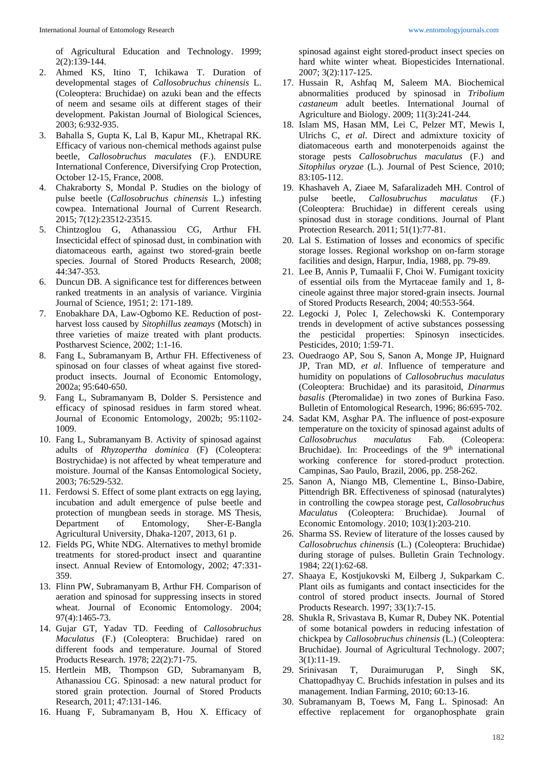of Agricultural Education and Technology. 1999; 2(2):139-144.

- 2. Ahmed KS, Itino T, Ichikawa T. Duration of developmental stages of *Callosobruchus chinensis* L. (Coleoptera: Bruchidae) on azuki bean and the effects of neem and sesame oils at different stages of their development. Pakistan Journal of Biological Sciences, 2003; 6:932-935.
- 3. Bahalla S, Gupta K, Lal B, Kapur ML, Khetrapal RK. Efficacy of various non-chemical methods against pulse beetle, *Callosobruchus maculates* (F.). ENDURE International Conference, Diversifying Crop Protection, October 12-15, France, 2008.
- 4. Chakraborty S, Mondal P. Studies on the biology of pulse beetle (*Callosobruchus chinensis* L.) infesting cowpea. International Journal of Current Research. 2015; 7(12):23512-23515.
- 5. Chintzoglou G, Athanassiou CG, Arthur FH. Insecticidal effect of spinosad dust, in combination with diatomaceous earth, against two stored-grain beetle species. Journal of Stored Products Research, 2008; 44:347-353.
- 6. Duncun DB. A significance test for differences between ranked treatments in an analysis of variance. Virginia Journal of Science, 1951; 2: 171-189.
- 7. Enobakhare DA, Law-Ogbomo KE. Reduction of postharvest loss caused by *Sitophillus zeamays* (Motsch) in three varieties of maize treated with plant products. Postharvest Science, 2002; 1:1-16.
- 8. Fang L, Subramanyam B, Arthur FH. Effectiveness of spinosad on four classes of wheat against five storedproduct insects. Journal of Economic Entomology, 2002a; 95:640-650.
- 9. Fang L, Subramanyam B, Dolder S. Persistence and efficacy of spinosad residues in farm stored wheat. Journal of Economic Entomology, 2002b; 95:1102- 1009.
- 10. Fang L, Subramanyam B. Activity of spinosad against adults of *Rhyzopertha dominica* (F) (Coleoptera: Bostrychidae) is not affected by wheat temperature and moisture. Journal of the Kansas Entomological Society, 2003; 76:529-532.
- 11. Ferdowsi S. Effect of some plant extracts on egg laying, incubation and adult emergence of pulse beetle and protection of mungbean seeds in storage. MS Thesis, Department of Entomology, Sher-E-Bangla Agricultural University, Dhaka-1207, 2013, 61 p.
- 12. Fields PG, White NDG. Alternatives to methyl bromide treatments for stored-product insect and quarantine insect. Annual Review of Entomology, 2002; 47:331- 359.
- 13. Flinn PW, Subramanyam B, Arthur FH. Comparison of aeration and spinosad for suppressing insects in stored wheat. Journal of Economic Entomology. 2004; 97(4):1465-73.
- 14. Gujar GT, Yadav TD. Feeding of *Callosobruchus Maculatus* (F.) (Coleoptera: Bruchidae) rared on different foods and temperature. Journal of Stored Products Research. 1978; 22(2):71-75.
- 15. Hertlein MB, Thompson GD, Subramanyam B, Athanassiou CG. Spinosad: a new natural product for stored grain protection. Journal of Stored Products Research, 2011; 47:131-146.
- 16. Huang F, Subramanyam B, Hou X. Efficacy of

spinosad against eight stored-product insect species on hard white winter wheat. Biopesticides International. 2007; 3(2):117-125.

- 17. Hussain R, Ashfaq M, Saleem MA. Biochemical abnormalities produced by spinosad in *Tribolium castaneum* adult beetles. International Journal of Agriculture and Biology. 2009; 11(3):241-244.
- 18. Islam MS, Hasan MM, Lei C, Pelzer MT, Mewis I, Ulrichs C, *et al*. Direct and admixture toxicity of diatomaceous earth and monoterpenoids against the storage pests *Callosobruchus maculatus* (F.) and *Sitophilus oryzae* (L.). Journal of Pest Science, 2010; 83:105-112.
- 19. Khashaveh A, Ziaee M, Safaralizadeh MH. Control of pulse beetle, *Callosubruchus maculatus* (F.) (Coleoptera: Bruchidae) in different cereals using spinosad dust in storage conditions. Journal of Plant Protection Research. 2011; 51(1):77-81.
- 20. Lal S. Estimation of losses and economics of specific storage losses. Regional workshop on on-farm storage facilities and design, Harpur, India, 1988, pp. 79-89.
- 21. Lee B, Annis P, Tumaalii F, Choi W. Fumigant toxicity of essential oils from the Myrtaceae family and 1, 8 cineole against three major stored-grain insects. Journal of Stored Products Research, 2004; 40:553-564.
- 22. Legocki J, Polec I, Zelechowski K. Contemporary trends in development of active substances possessing the pesticidal properties: Spinosyn insecticides. Pesticides, 2010; 1:59-71.
- 23. Ouedraogo AP, Sou S, Sanon A, Monge JP, Huignard JP, Tran MD, *et al*. Influence of temperature and humidity on populations of *Callosobruchus maculatus*  (Coleoptera: Bruchidae) and its parasitoid, *Dinarmus basalis* (Pteromalidae) in two zones of Burkina Faso. Bulletin of Entomological Research, 1996; 86:695-702.
- 24. Sadat KM, Asghar PA. The influence of post-exposure temperature on the toxicity of spinosad against adults of *Callosobruchus maculatus* Fab. (Coleopera: Bruchidae). In: Proceedings of the 9<sup>th</sup> international working conference for stored-product protection. Campinas, Sao Paulo, Brazil, 2006, pp. 258-262.
- 25. Sanon A, Niango MB, Clementine L, Binso-Dabire, Pittendrigh BR. Effectiveness of spinosad (naturalytes) in controlling the cowpea storage pest, *Callosobruchus Maculatus* (Coleoptera: Bruchidae). Journal of Economic Entomology. 2010; 103(1):203-210.
- 26. Sharma SS. Review of literature of the losses caused by *Callosobruchus chinensis* (L.) (Coleoptera: Bruchidae) during storage of pulses. Bulletin Grain Technology. 1984; 22(1):62-68.
- 27. Shaaya E, Kostjukovski M, Eilberg J, Sukparkam C. Plant oils as fumigants and contact insecticides for the control of stored product insects. Journal of Stored Products Research. 1997; 33(1):7-15.
- 28. Shukla R, Srivastava B, Kumar R, Dubey NK. Potential of some botanical powders in reducing infestation of chickpea by *Callosobruchus chinensis* (L.) (Coleoptera: Bruchidae). Journal of Agricultural Technology. 2007; 3(1):11-19.
- 29. Srinivasan T, Duraimurugan P, Singh SK, Chattopadhyay C. Bruchids infestation in pulses and its management. Indian Farming, 2010; 60:13-16.
- 30. Subramanyam B, Toews M, Fang L. Spinosad: An effective replacement for organophosphate grain